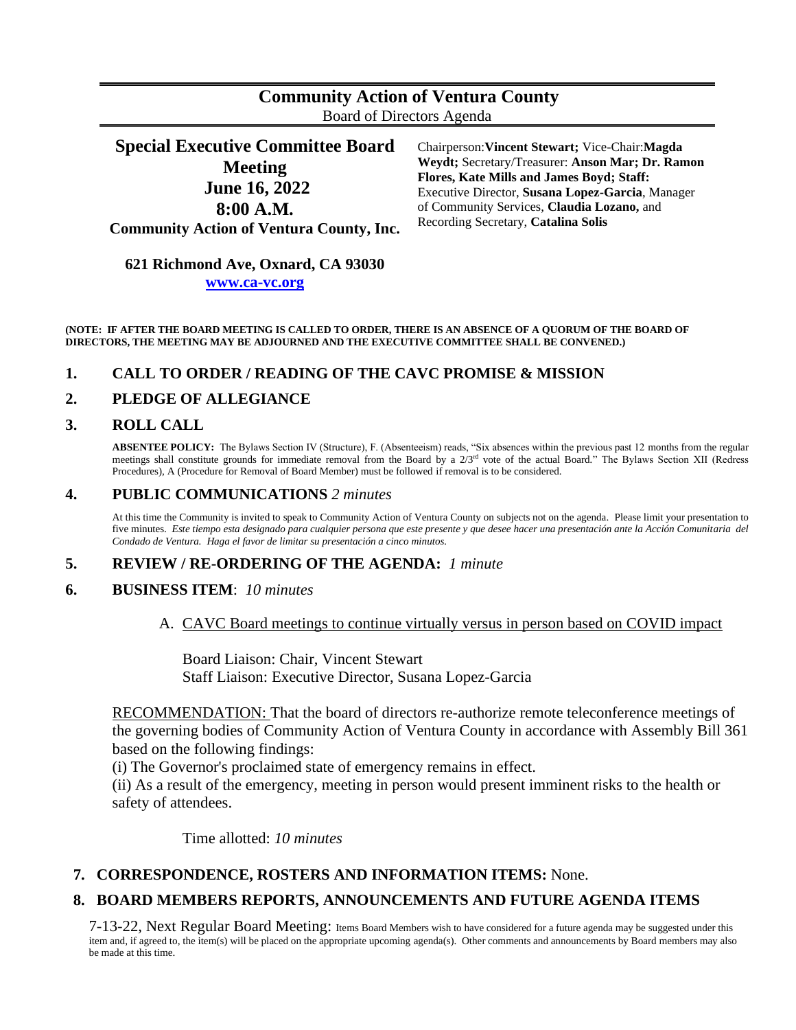# **Community Action of Ventura County** Board of Directors Agenda

**Special Executive Committee Board Meeting June 16, 2022 8:00 A.M. Community Action of Ventura County, Inc.**

Chairperson:**Vincent Stewart;** Vice-Chair:**Magda Weydt;** Secretary/Treasurer: **Anson Mar; Dr. Ramon Flores, Kate Mills and James Boyd; Staff:**  Executive Director, **Susana Lopez-Garcia**, Manager of Community Services, **Claudia Lozano,** and Recording Secretary, **Catalina Solis**

# **621 Richmond Ave, Oxnard, CA 93030 [www.ca-vc.org](http://www.ca-vc.org/)**

#### **(NOTE: IF AFTER THE BOARD MEETING IS CALLED TO ORDER, THERE IS AN ABSENCE OF A QUORUM OF THE BOARD OF DIRECTORS, THE MEETING MAY BE ADJOURNED AND THE EXECUTIVE COMMITTEE SHALL BE CONVENED.)**

## **1. CALL TO ORDER / READING OF THE CAVC PROMISE & MISSION**

## **2. PLEDGE OF ALLEGIANCE**

#### **3. ROLL CALL**

**ABSENTEE POLICY:** The Bylaws Section IV (Structure), F. (Absenteeism) reads, "Six absences within the previous past 12 months from the regular meetings shall constitute grounds for immediate removal from the Board by a  $2/3<sup>rd</sup>$  vote of the actual Board." The Bylaws Section XII (Redress Procedures), A (Procedure for Removal of Board Member) must be followed if removal is to be considered.

#### **4. PUBLIC COMMUNICATIONS** *2 minutes*

At this time the Community is invited to speak to Community Action of Ventura County on subjects not on the agenda. Please limit your presentation to five minutes. *Este tiempo esta designado para cualquier persona que este presente y que desee hacer una presentación ante la Acción Comunitaria del Condado de Ventura. Haga el favor de limitar su presentación a cinco minutos.*

## **5. REVIEW / RE-ORDERING OF THE AGENDA:** *1 minute*

#### **6. BUSINESS ITEM**: *10 minutes*

#### A. CAVC Board meetings to continue virtually versus in person based on COVID impact

Board Liaison: Chair, Vincent Stewart Staff Liaison: Executive Director, Susana Lopez-Garcia

RECOMMENDATION: That the board of directors re-authorize remote teleconference meetings of the governing bodies of Community Action of Ventura County in accordance with Assembly Bill 361 based on the following findings:

(i) The Governor's proclaimed state of emergency remains in effect.

(ii) As a result of the emergency, meeting in person would present imminent risks to the health or safety of attendees.

Time allotted: *10 minutes*

## **7. CORRESPONDENCE, ROSTERS AND INFORMATION ITEMS:** None.

## **8. BOARD MEMBERS REPORTS, ANNOUNCEMENTS AND FUTURE AGENDA ITEMS**

7-13-22, Next Regular Board Meeting: Items Board Members wish to have considered for a future agenda may be suggested under this item and, if agreed to, the item(s) will be placed on the appropriate upcoming agenda(s). Other comments and announcements by Board members may also be made at this time.